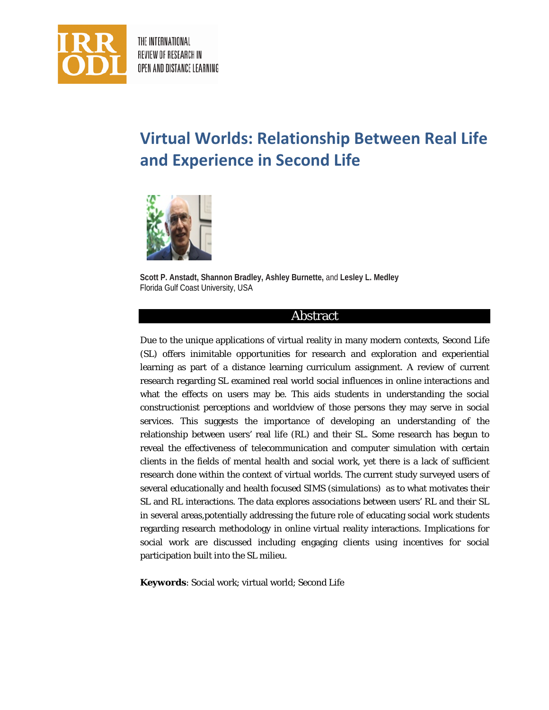

THE INTERNATIONAL REVIEW OF RESEARCH IN OPEN AND DISTANCE LEARNING

# **Virtual Worlds: Relationship Between Real Life and Experience in Second Life**



**Scott P. Anstadt, Shannon Bradley, Ashley Burnette,** and **Lesley L. Medley** Florida Gulf Coast University, USA

#### Abstract

Due to the unique applications of virtual reality in many modern contexts, Second Life (SL) offers inimitable opportunities for research and exploration and experiential learning as part of a distance learning curriculum assignment. A review of current research regarding SL examined real world social influences in online interactions and what the effects on users may be. This aids students in understanding the social constructionist perceptions and worldview of those persons they may serve in social services. This suggests the importance of developing an understanding of the relationship between users' real life (RL) and their SL. Some research has begun to reveal the effectiveness of telecommunication and computer simulation with certain clients in the fields of mental health and social work, yet there is a lack of sufficient research done within the context of virtual worlds. The current study surveyed users of several educationally and health focused SIMS (simulations) as to what motivates their SL and RL interactions. The data explores associations between users' RL and their SL in several areas,potentially addressing the future role of educating social work students regarding research methodology in online virtual reality interactions. Implications for social work are discussed including engaging clients using incentives for social participation built into the SL milieu.

**Keywords**: Social work; virtual world; Second Life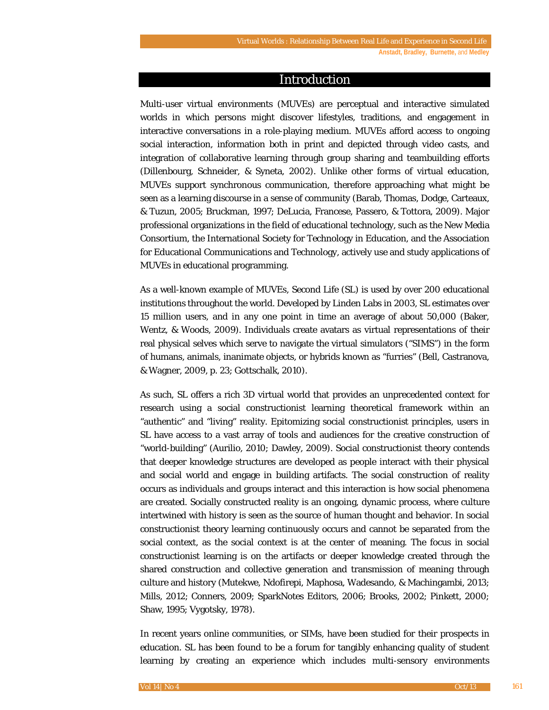#### Introduction

Multi-user virtual environments (MUVEs) are perceptual and interactive simulated worlds in which persons might discover lifestyles, traditions, and engagement in interactive conversations in a role-playing medium. MUVEs afford access to ongoing social interaction, information both in print and depicted through video casts, and integration of collaborative learning through group sharing and teambuilding efforts (Dillenbourg, Schneider, & Syneta, 2002). Unlike other forms of virtual education, MUVEs support synchronous communication, therefore approaching what might be seen as a learning discourse in a sense of community (Barab, Thomas, Dodge, Carteaux, & Tuzun, 2005; Bruckman, 1997; DeLucia, Francese, Passero, & Tottora, 2009). Major professional organizations in the field of educational technology, such as the New Media Consortium, the International Society for Technology in Education, and the Association for Educational Communications and Technology, actively use and study applications of MUVEs in educational programming.

As a well-known example of MUVEs, Second Life (SL) is used by over 200 educational institutions throughout the world. Developed by Linden Labs in 2003, SL estimates over 15 million users, and in any one point in time an average of about 50,000 (Baker, Wentz, & Woods, 2009). Individuals create avatars as virtual representations of their real physical selves which serve to navigate the virtual simulators ("SIMS") in the form of humans, animals, inanimate objects, or hybrids known as "furries" (Bell, Castranova, & Wagner, 2009, p. 23; Gottschalk, 2010).

As such, SL offers a rich 3D virtual world that provides an unprecedented context for research using a social constructionist learning theoretical framework within an "authentic" and "living" reality. Epitomizing social constructionist principles, users in SL have access to a vast array of tools and audiences for the creative construction of "world-building" (Aurilio, 2010; Dawley, 2009). Social constructionist theory contends that deeper knowledge structures are developed as people interact with their physical and social world and engage in building artifacts. The social construction of reality occurs as individuals and groups interact and this interaction is how social phenomena are created. Socially constructed reality is an ongoing, dynamic process, where culture intertwined with history is seen as the source of human thought and behavior. In social constructionist theory learning continuously occurs and cannot be separated from the social context, as the social context is at the center of meaning. The focus in social constructionist learning is on the artifacts or deeper knowledge created through the shared construction and collective generation and transmission of meaning through culture and history (Mutekwe, Ndofirepi, Maphosa, Wadesando, & Machingambi, 2013; Mills, 2012; Conners, 2009; SparkNotes Editors, 2006; Brooks, 2002; Pinkett, 2000; Shaw, 1995; Vygotsky, 1978).

In recent years online communities, or SIMs, have been studied for their prospects in education. SL has been found to be a forum for tangibly enhancing quality of student learning by creating an experience which includes multi-sensory environments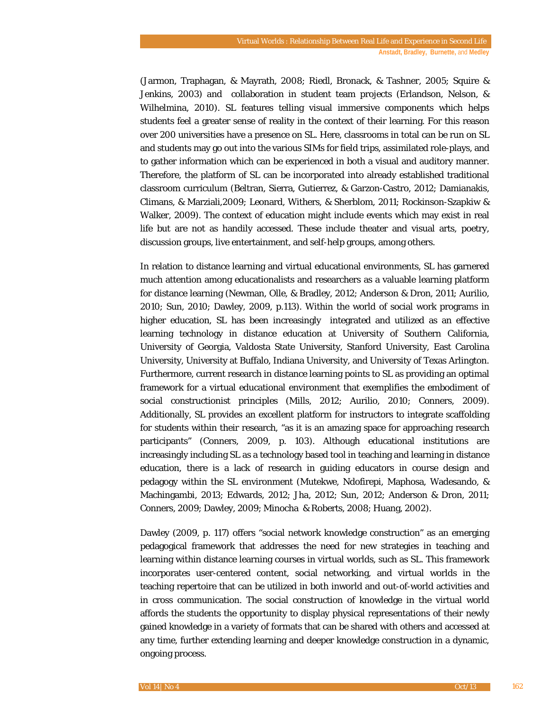(Jarmon, Traphagan, & Mayrath, 2008; Riedl, Bronack, & Tashner, 2005; Squire & Jenkins, 2003) and collaboration in student team projects (Erlandson, Nelson, & Wilhelmina, 2010). SL features telling visual immersive components which helps students feel a greater sense of reality in the context of their learning. For this reason over 200 universities have a presence on SL. Here, classrooms in total can be run on SL and students may go out into the various SIMs for field trips, assimilated role-plays, and to gather information which can be experienced in both a visual and auditory manner. Therefore, the platform of SL can be incorporated into already established traditional classroom curriculum (Beltran, Sierra, Gutierrez, & Garzon-Castro, 2012; Damianakis, Climans, & Marziali,2009; Leonard, Withers, & Sherblom, 2011; Rockinson-Szapkiw & Walker, 2009). The context of education might include events which may exist in real life but are not as handily accessed. These include theater and visual arts, poetry, discussion groups, live entertainment, and self-help groups, among others.

In relation to distance learning and virtual educational environments, SL has garnered much attention among educationalists and researchers as a valuable learning platform for distance learning (Newman, Olle, & Bradley, 2012; Anderson & Dron, 2011; Aurilio, 2010; Sun, 2010; Dawley, 2009, p.113). Within the world of social work programs in higher education, SL has been increasingly integrated and utilized as an effective learning technology in distance education at University of Southern California, University of Georgia, Valdosta State University, Stanford University, East Carolina University, University at Buffalo, Indiana University, and University of Texas Arlington. Furthermore, current research in distance learning points to SL as providing an optimal framework for a virtual educational environment that exemplifies the embodiment of social constructionist principles (Mills, 2012; Aurilio, 2010; Conners, 2009). Additionally, SL provides an excellent platform for instructors to integrate scaffolding for students within their research, "as it is an amazing space for approaching research participants" (Conners, 2009, p. 103). Although educational institutions are increasingly including SL as a technology based tool in teaching and learning in distance education, there is a lack of research in guiding educators in course design and pedagogy within the SL environment (Mutekwe, Ndofirepi, Maphosa, Wadesando, & Machingambi, 2013; Edwards, 2012; Jha, 2012; Sun, 2012; Anderson & Dron, 2011; Conners, 2009; Dawley, 2009; Minocha & Roberts, 2008; Huang, 2002).

Dawley (2009, p. 117) offers "social network knowledge construction" as an emerging pedagogical framework that addresses the need for new strategies in teaching and learning within distance learning courses in virtual worlds, such as SL. This framework incorporates user-centered content, social networking, and virtual worlds in the teaching repertoire that can be utilized in both inworld and out-of-world activities and in cross communication. The social construction of knowledge in the virtual world affords the students the opportunity to display physical representations of their newly gained knowledge in a variety of formats that can be shared with others and accessed at any time, further extending learning and deeper knowledge construction in a dynamic, ongoing process.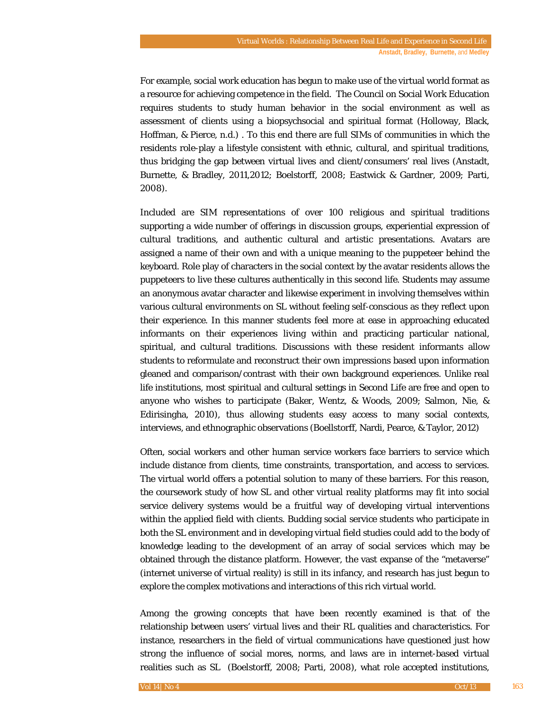For example, social work education has begun to make use of the virtual world format as a resource for achieving competence in the field. The Council on Social Work Education requires students to study human behavior in the social environment as well as assessment of clients using a biopsychsocial and spiritual format (Holloway, Black, Hoffman, & Pierce, n.d.) . To this end there are full SIMs of communities in which the residents role-play a lifestyle consistent with ethnic, cultural, and spiritual traditions, thus bridging the gap between virtual lives and client/consumers' real lives (Anstadt, Burnette, & Bradley, 2011,2012; Boelstorff, 2008; Eastwick & Gardner, 2009; Parti, 2008).

Included are SIM representations of over 100 religious and spiritual traditions supporting a wide number of offerings in discussion groups, experiential expression of cultural traditions, and authentic cultural and artistic presentations. Avatars are assigned a name of their own and with a unique meaning to the puppeteer behind the keyboard. Role play of characters in the social context by the avatar residents allows the puppeteers to live these cultures authentically in this second life. Students may assume an anonymous avatar character and likewise experiment in involving themselves within various cultural environments on SL without feeling self-conscious as they reflect upon their experience. In this manner students feel more at ease in approaching educated informants on their experiences living within and practicing particular national, spiritual, and cultural traditions. Discussions with these resident informants allow students to reformulate and reconstruct their own impressions based upon information gleaned and comparison/contrast with their own background experiences. Unlike real life institutions, most spiritual and cultural settings in Second Life are free and open to anyone who wishes to participate (Baker, Wentz, & Woods, 2009; Salmon, Nie, & Edirisingha, 2010), thus allowing students easy access to many social contexts, interviews, and ethnographic observations (Boellstorff, Nardi, Pearce, & Taylor, 2012)

Often, social workers and other human service workers face barriers to service which include distance from clients, time constraints, transportation, and access to services. The virtual world offers a potential solution to many of these barriers. For this reason, the coursework study of how SL and other virtual reality platforms may fit into social service delivery systems would be a fruitful way of developing virtual interventions within the applied field with clients. Budding social service students who participate in both the SL environment and in developing virtual field studies could add to the body of knowledge leading to the development of an array of social services which may be obtained through the distance platform. However, the vast expanse of the "metaverse" (internet universe of virtual reality) is still in its infancy, and research has just begun to explore the complex motivations and interactions of this rich virtual world.

Among the growing concepts that have been recently examined is that of the relationship between users' virtual lives and their RL qualities and characteristics. For instance, researchers in the field of virtual communications have questioned just how strong the influence of social mores, norms, and laws are in internet-based virtual realities such as SL (Boelstorff, 2008; Parti, 2008), what role accepted institutions,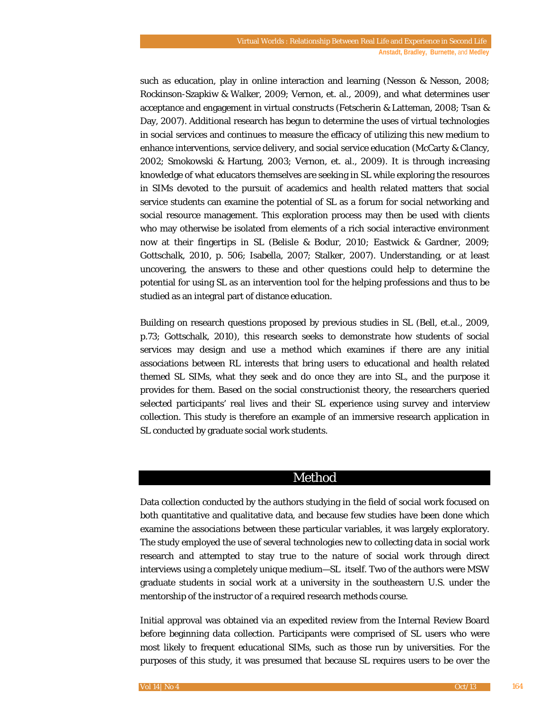such as education, play in online interaction and learning (Nesson & Nesson, 2008; Rockinson-Szapkiw & Walker, 2009; Vernon, et. al., 2009), and what determines user acceptance and engagement in virtual constructs (Fetscherin & Latteman, 2008; Tsan & Day, 2007). Additional research has begun to determine the uses of virtual technologies in social services and continues to measure the efficacy of utilizing this new medium to enhance interventions, service delivery, and social service education (McCarty & Clancy, 2002; Smokowski & Hartung, 2003; Vernon, et. al., 2009). It is through increasing knowledge of what educators themselves are seeking in SL while exploring the resources in SIMs devoted to the pursuit of academics and health related matters that social service students can examine the potential of SL as a forum for social networking and social resource management. This exploration process may then be used with clients who may otherwise be isolated from elements of a rich social interactive environment now at their fingertips in SL (Belisle & Bodur, 2010; Eastwick & Gardner, 2009; Gottschalk, 2010, p. 506; Isabella, 2007; Stalker, 2007). Understanding, or at least uncovering, the answers to these and other questions could help to determine the potential for using SL as an intervention tool for the helping professions and thus to be studied as an integral part of distance education.

Building on research questions proposed by previous studies in SL (Bell, et.al., 2009, p.73; Gottschalk, 2010), this research seeks to demonstrate how students of social services may design and use a method which examines if there are any initial associations between RL interests that bring users to educational and health related themed SL SIMs, what they seek and do once they are into SL, and the purpose it provides for them. Based on the social constructionist theory, the researchers queried selected participants' real lives and their SL experience using survey and interview collection. This study is therefore an example of an immersive research application in SL conducted by graduate social work students.

#### Method

Data collection conducted by the authors studying in the field of social work focused on both quantitative and qualitative data, and because few studies have been done which examine the associations between these particular variables, it was largely exploratory. The study employed the use of several technologies new to collecting data in social work research and attempted to stay true to the nature of social work through direct interviews using a completely unique medium—SL itself. Two of the authors were MSW graduate students in social work at a university in the southeastern U.S. under the mentorship of the instructor of a required research methods course.

Initial approval was obtained via an expedited review from the Internal Review Board before beginning data collection. Participants were comprised of SL users who were most likely to frequent educational SIMs, such as those run by universities. For the purposes of this study, it was presumed that because SL requires users to be over the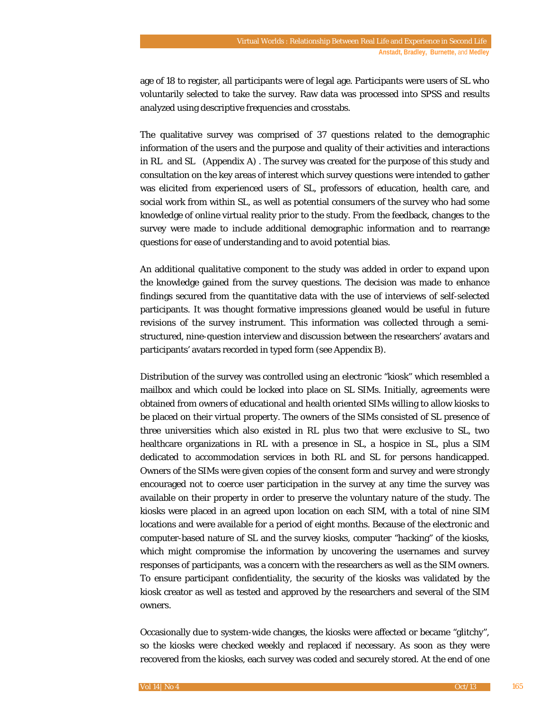age of 18 to register, all participants were of legal age. Participants were users of SL who voluntarily selected to take the survey. Raw data was processed into SPSS and results analyzed using descriptive frequencies and crosstabs.

The qualitative survey was comprised of 37 questions related to the demographic information of the users and the purpose and quality of their activities and interactions in RL and SL (Appendix A) . The survey was created for the purpose of this study and consultation on the key areas of interest which survey questions were intended to gather was elicited from experienced users of SL, professors of education, health care, and social work from within SL, as well as potential consumers of the survey who had some knowledge of online virtual reality prior to the study. From the feedback, changes to the survey were made to include additional demographic information and to rearrange questions for ease of understanding and to avoid potential bias.

An additional qualitative component to the study was added in order to expand upon the knowledge gained from the survey questions. The decision was made to enhance findings secured from the quantitative data with the use of interviews of self-selected participants. It was thought formative impressions gleaned would be useful in future revisions of the survey instrument. This information was collected through a semistructured, nine-question interview and discussion between the researchers' avatars and participants' avatars recorded in typed form (see Appendix B).

Distribution of the survey was controlled using an electronic "kiosk" which resembled a mailbox and which could be locked into place on SL SIMs. Initially, agreements were obtained from owners of educational and health oriented SIMs willing to allow kiosks to be placed on their virtual property. The owners of the SIMs consisted of SL presence of three universities which also existed in RL plus two that were exclusive to SL, two healthcare organizations in RL with a presence in SL, a hospice in SL, plus a SIM dedicated to accommodation services in both RL and SL for persons handicapped. Owners of the SIMs were given copies of the consent form and survey and were strongly encouraged not to coerce user participation in the survey at any time the survey was available on their property in order to preserve the voluntary nature of the study. The kiosks were placed in an agreed upon location on each SIM, with a total of nine SIM locations and were available for a period of eight months. Because of the electronic and computer-based nature of SL and the survey kiosks, computer "hacking" of the kiosks, which might compromise the information by uncovering the usernames and survey responses of participants, was a concern with the researchers as well as the SIM owners. To ensure participant confidentiality, the security of the kiosks was validated by the kiosk creator as well as tested and approved by the researchers and several of the SIM owners.

Occasionally due to system-wide changes, the kiosks were affected or became "glitchy", so the kiosks were checked weekly and replaced if necessary. As soon as they were recovered from the kiosks, each survey was coded and securely stored. At the end of one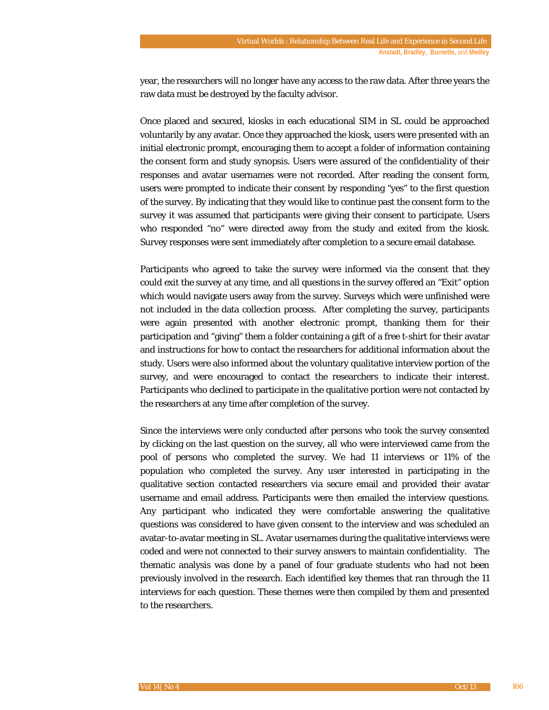year, the researchers will no longer have any access to the raw data. After three years the raw data must be destroyed by the faculty advisor.

Once placed and secured, kiosks in each educational SIM in SL could be approached voluntarily by any avatar. Once they approached the kiosk, users were presented with an initial electronic prompt, encouraging them to accept a folder of information containing the consent form and study synopsis. Users were assured of the confidentiality of their responses and avatar usernames were not recorded. After reading the consent form, users were prompted to indicate their consent by responding "yes" to the first question of the survey. By indicating that they would like to continue past the consent form to the survey it was assumed that participants were giving their consent to participate. Users who responded "no" were directed away from the study and exited from the kiosk. Survey responses were sent immediately after completion to a secure email database.

Participants who agreed to take the survey were informed via the consent that they could exit the survey at any time, and all questions in the survey offered an "Exit" option which would navigate users away from the survey. Surveys which were unfinished were not included in the data collection process. After completing the survey, participants were again presented with another electronic prompt, thanking them for their participation and "giving" them a folder containing a gift of a free t-shirt for their avatar and instructions for how to contact the researchers for additional information about the study. Users were also informed about the voluntary qualitative interview portion of the survey, and were encouraged to contact the researchers to indicate their interest. Participants who declined to participate in the qualitative portion were not contacted by the researchers at any time after completion of the survey.

Since the interviews were only conducted after persons who took the survey consented by clicking on the last question on the survey, all who were interviewed came from the pool of persons who completed the survey. We had 11 interviews or 11% of the population who completed the survey. Any user interested in participating in the qualitative section contacted researchers via secure email and provided their avatar username and email address. Participants were then emailed the interview questions. Any participant who indicated they were comfortable answering the qualitative questions was considered to have given consent to the interview and was scheduled an avatar-to-avatar meeting in SL. Avatar usernames during the qualitative interviews were coded and were not connected to their survey answers to maintain confidentiality. The thematic analysis was done by a panel of four graduate students who had not been previously involved in the research. Each identified key themes that ran through the 11 interviews for each question. These themes were then compiled by them and presented to the researchers.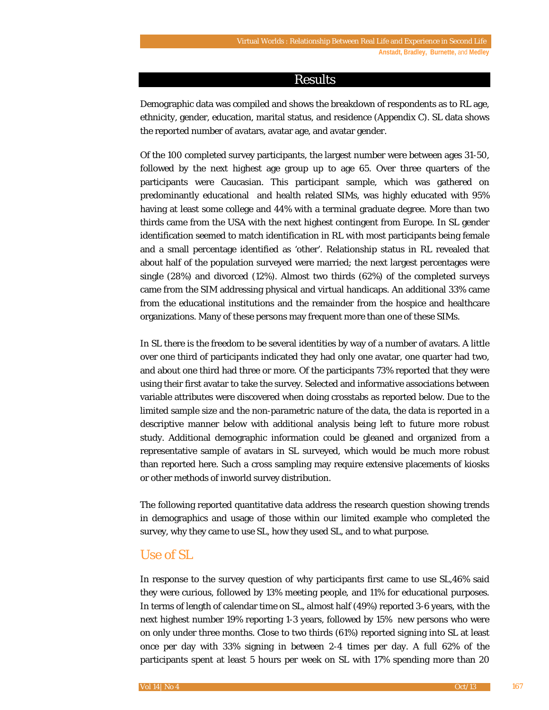#### Results

Demographic data was compiled and shows the breakdown of respondents as to RL age, ethnicity, gender, education, marital status, and residence (Appendix C). SL data shows the reported number of avatars, avatar age, and avatar gender.

Of the 100 completed survey participants, the largest number were between ages 31-50, followed by the next highest age group up to age 65. Over three quarters of the participants were Caucasian. This participant sample, which was gathered on predominantly educational and health related SIMs, was highly educated with 95% having at least some college and 44% with a terminal graduate degree. More than two thirds came from the USA with the next highest contingent from Europe. In SL gender identification seemed to match identification in RL with most participants being female and a small percentage identified as 'other'. Relationship status in RL revealed that about half of the population surveyed were married; the next largest percentages were single (28%) and divorced (12%). Almost two thirds (62%) of the completed surveys came from the SIM addressing physical and virtual handicaps. An additional 33% came from the educational institutions and the remainder from the hospice and healthcare organizations. Many of these persons may frequent more than one of these SIMs.

In SL there is the freedom to be several identities by way of a number of avatars. A little over one third of participants indicated they had only one avatar, one quarter had two, and about one third had three or more. Of the participants 73% reported that they were using their first avatar to take the survey. Selected and informative associations between variable attributes were discovered when doing crosstabs as reported below. Due to the limited sample size and the non-parametric nature of the data, the data is reported in a descriptive manner below with additional analysis being left to future more robust study. Additional demographic information could be gleaned and organized from a representative sample of avatars in SL surveyed, which would be much more robust than reported here. Such a cross sampling may require extensive placements of kiosks or other methods of inworld survey distribution.

The following reported quantitative data address the research question showing trends in demographics and usage of those within our limited example who completed the survey, why they came to use SL, how they used SL, and to what purpose.

#### Use of SL

In response to the survey question of why participants first came to use SL,46% said they were curious, followed by 13% meeting people, and 11% for educational purposes. In terms of length of calendar time on SL, almost half (49%) reported 3-6 years, with the next highest number 19% reporting 1-3 years, followed by 15% new persons who were on only under three months. Close to two thirds (61%) reported signing into SL at least once per day with 33% signing in between 2-4 times per day. A full 62% of the participants spent at least 5 hours per week on SL with 17% spending more than 20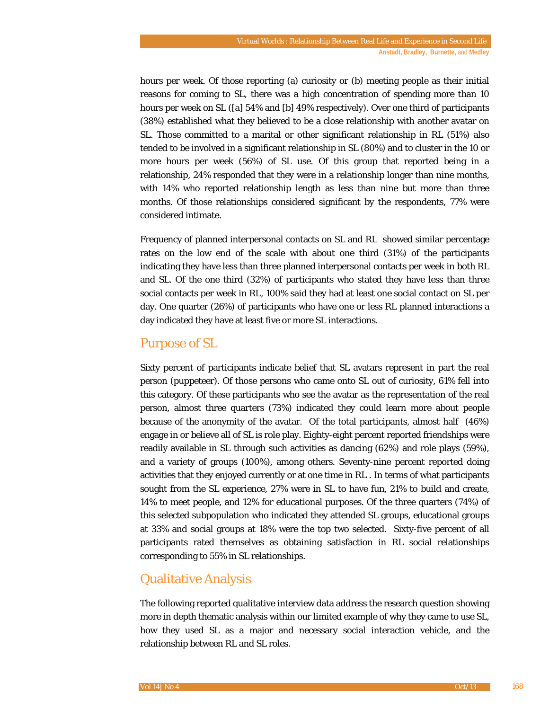hours per week. Of those reporting (a) curiosity or (b) meeting people as their initial reasons for coming to SL, there was a high concentration of spending more than 10 hours per week on SL ([a] 54% and [b] 49% respectively). Over one third of participants (38%) established what they believed to be a close relationship with another avatar on SL. Those committed to a marital or other significant relationship in RL (51%) also tended to be involved in a significant relationship in SL (80%) and to cluster in the 10 or more hours per week (56%) of SL use. Of this group that reported being in a relationship, 24% responded that they were in a relationship longer than nine months, with 14% who reported relationship length as less than nine but more than three months. Of those relationships considered significant by the respondents, 77% were considered intimate.

Frequency of planned interpersonal contacts on SL and RL showed similar percentage rates on the low end of the scale with about one third (31%) of the participants indicating they have less than three planned interpersonal contacts per week in both RL and SL. Of the one third (32%) of participants who stated they have less than three social contacts per week in RL, 100% said they had at least one social contact on SL per day. One quarter (26%) of participants who have one or less RL planned interactions a day indicated they have at least five or more SL interactions.

## Purpose of SL

Sixty percent of participants indicate belief that SL avatars represent in part the real person (puppeteer). Of those persons who came onto SL out of curiosity, 61% fell into this category. Of these participants who see the avatar as the representation of the real person, almost three quarters (73%) indicated they could learn more about people because of the anonymity of the avatar. Of the total participants, almost half (46%) engage in or believe all of SL is role play. Eighty-eight percent reported friendships were readily available in SL through such activities as dancing (62%) and role plays (59%), and a variety of groups (100%), among others. Seventy-nine percent reported doing activities that they enjoyed currently or at one time in RL . In terms of what participants sought from the SL experience, 27% were in SL to have fun, 21% to build and create, 14% to meet people, and 12% for educational purposes. Of the three quarters (74%) of this selected subpopulation who indicated they attended SL groups, educational groups at 33% and social groups at 18% were the top two selected. Sixty-five percent of all participants rated themselves as obtaining satisfaction in RL social relationships corresponding to 55% in SL relationships.

## Qualitative Analysis

The following reported qualitative interview data address the research question showing more in depth thematic analysis within our limited example of why they came to use SL, how they used SL as a major and necessary social interaction vehicle, and the relationship between RL and SL roles.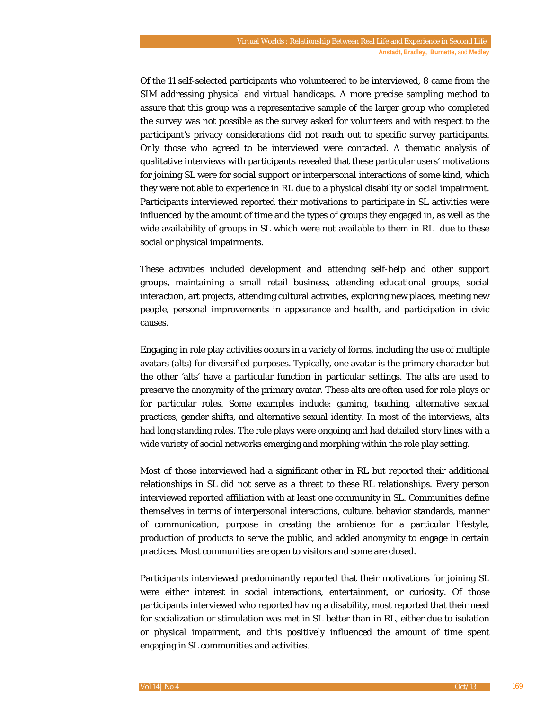Of the 11 self-selected participants who volunteered to be interviewed, 8 came from the SIM addressing physical and virtual handicaps. A more precise sampling method to assure that this group was a representative sample of the larger group who completed the survey was not possible as the survey asked for volunteers and with respect to the participant's privacy considerations did not reach out to specific survey participants. Only those who agreed to be interviewed were contacted. A thematic analysis of qualitative interviews with participants revealed that these particular users' motivations for joining SL were for social support or interpersonal interactions of some kind, which they were not able to experience in RL due to a physical disability or social impairment. Participants interviewed reported their motivations to participate in SL activities were influenced by the amount of time and the types of groups they engaged in, as well as the wide availability of groups in SL which were not available to them in RL due to these social or physical impairments.

These activities included development and attending self-help and other support groups, maintaining a small retail business, attending educational groups, social interaction, art projects, attending cultural activities, exploring new places, meeting new people, personal improvements in appearance and health, and participation in civic causes.

Engaging in role play activities occurs in a variety of forms, including the use of multiple avatars (alts) for diversified purposes. Typically, one avatar is the primary character but the other 'alts' have a particular function in particular settings. The alts are used to preserve the anonymity of the primary avatar. These alts are often used for role plays or for particular roles. Some examples include: gaming, teaching, alternative sexual practices, gender shifts, and alternative sexual identity. In most of the interviews, alts had long standing roles. The role plays were ongoing and had detailed story lines with a wide variety of social networks emerging and morphing within the role play setting.

Most of those interviewed had a significant other in RL but reported their additional relationships in SL did not serve as a threat to these RL relationships. Every person interviewed reported affiliation with at least one community in SL. Communities define themselves in terms of interpersonal interactions, culture, behavior standards, manner of communication, purpose in creating the ambience for a particular lifestyle, production of products to serve the public, and added anonymity to engage in certain practices. Most communities are open to visitors and some are closed.

Participants interviewed predominantly reported that their motivations for joining SL were either interest in social interactions, entertainment, or curiosity. Of those participants interviewed who reported having a disability, most reported that their need for socialization or stimulation was met in SL better than in RL, either due to isolation or physical impairment, and this positively influenced the amount of time spent engaging in SL communities and activities.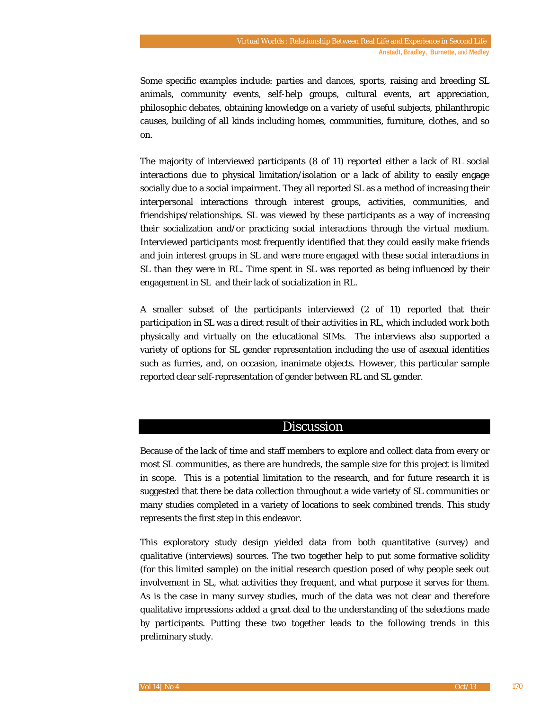Some specific examples include: parties and dances, sports, raising and breeding SL animals, community events, self-help groups, cultural events, art appreciation, philosophic debates, obtaining knowledge on a variety of useful subjects, philanthropic causes, building of all kinds including homes, communities, furniture, clothes, and so on.

The majority of interviewed participants (8 of 11) reported either a lack of RL social interactions due to physical limitation/isolation or a lack of ability to easily engage socially due to a social impairment. They all reported SL as a method of increasing their interpersonal interactions through interest groups, activities, communities, and friendships/relationships. SL was viewed by these participants as a way of increasing their socialization and/or practicing social interactions through the virtual medium. Interviewed participants most frequently identified that they could easily make friends and join interest groups in SL and were more engaged with these social interactions in SL than they were in RL. Time spent in SL was reported as being influenced by their engagement in SL and their lack of socialization in RL.

A smaller subset of the participants interviewed (2 of 11) reported that their participation in SL was a direct result of their activities in RL, which included work both physically and virtually on the educational SIMs. The interviews also supported a variety of options for SL gender representation including the use of asexual identities such as furries, and, on occasion, inanimate objects. However, this particular sample reported clear self-representation of gender between RL and SL gender.

#### **Discussion**

Because of the lack of time and staff members to explore and collect data from every or most SL communities, as there are hundreds, the sample size for this project is limited in scope. This is a potential limitation to the research, and for future research it is suggested that there be data collection throughout a wide variety of SL communities or many studies completed in a variety of locations to seek combined trends. This study represents the first step in this endeavor.

This exploratory study design yielded data from both quantitative (survey) and qualitative (interviews) sources. The two together help to put some formative solidity (for this limited sample) on the initial research question posed of why people seek out involvement in SL, what activities they frequent, and what purpose it serves for them. As is the case in many survey studies, much of the data was not clear and therefore qualitative impressions added a great deal to the understanding of the selections made by participants. Putting these two together leads to the following trends in this preliminary study.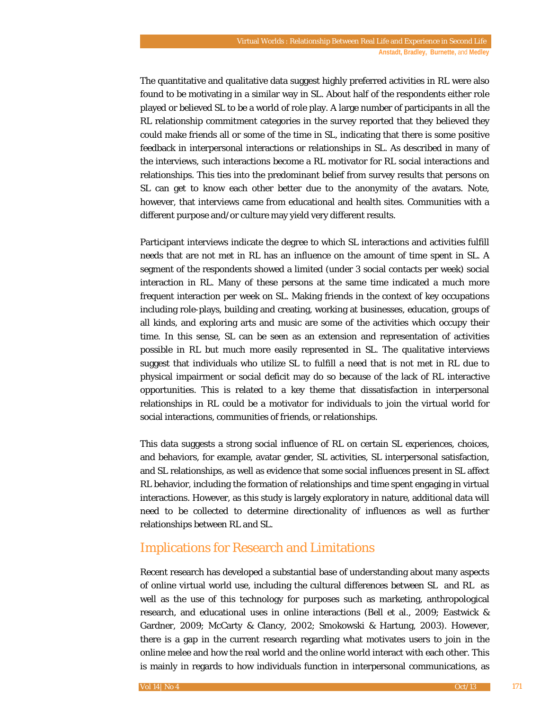The quantitative and qualitative data suggest highly preferred activities in RL were also found to be motivating in a similar way in SL. About half of the respondents either role played or believed SL to be a world of role play. A large number of participants in all the RL relationship commitment categories in the survey reported that they believed they could make friends all or some of the time in SL, indicating that there is some positive feedback in interpersonal interactions or relationships in SL. As described in many of the interviews, such interactions become a RL motivator for RL social interactions and relationships. This ties into the predominant belief from survey results that persons on SL can get to know each other better due to the anonymity of the avatars. Note, however, that interviews came from educational and health sites. Communities with a different purpose and/or culture may yield very different results.

Participant interviews indicate the degree to which SL interactions and activities fulfill needs that are not met in RL has an influence on the amount of time spent in SL. A segment of the respondents showed a limited (under 3 social contacts per week) social interaction in RL. Many of these persons at the same time indicated a much more frequent interaction per week on SL. Making friends in the context of key occupations including role-plays, building and creating, working at businesses, education, groups of all kinds, and exploring arts and music are some of the activities which occupy their time. In this sense, SL can be seen as an extension and representation of activities possible in RL but much more easily represented in SL. The qualitative interviews suggest that individuals who utilize SL to fulfill a need that is not met in RL due to physical impairment or social deficit may do so because of the lack of RL interactive opportunities. This is related to a key theme that dissatisfaction in interpersonal relationships in RL could be a motivator for individuals to join the virtual world for social interactions, communities of friends, or relationships.

This data suggests a strong social influence of RL on certain SL experiences, choices, and behaviors, for example, avatar gender, SL activities, SL interpersonal satisfaction, and SL relationships, as well as evidence that some social influences present in SL affect RL behavior, including the formation of relationships and time spent engaging in virtual interactions. However, as this study is largely exploratory in nature, additional data will need to be collected to determine directionality of influences as well as further relationships between RL and SL.

## Implications for Research and Limitations

Recent research has developed a substantial base of understanding about many aspects of online virtual world use, including the cultural differences between SL and RL as well as the use of this technology for purposes such as marketing, anthropological research, and educational uses in online interactions (Bell et al., 2009; Eastwick & Gardner, 2009; McCarty & Clancy, 2002; Smokowski & Hartung, 2003). However, there is a gap in the current research regarding what motivates users to join in the online melee and how the real world and the online world interact with each other. This is mainly in regards to how individuals function in interpersonal communications, as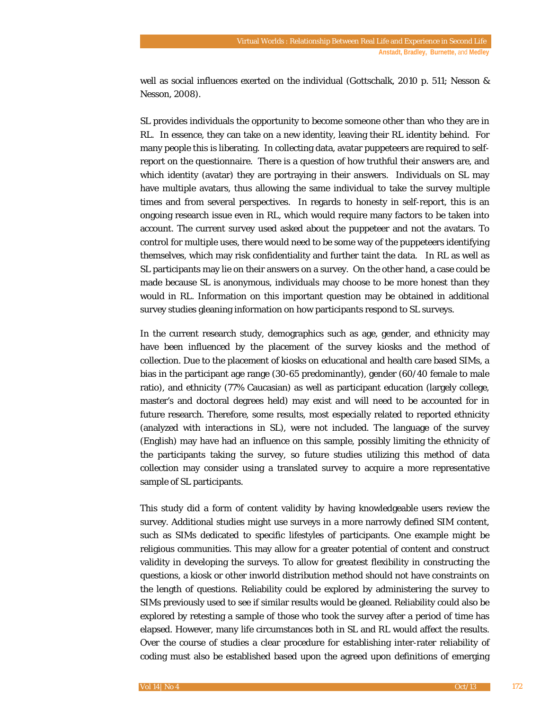well as social influences exerted on the individual (Gottschalk, 2010 p. 511; Nesson & Nesson, 2008).

SL provides individuals the opportunity to become someone other than who they are in RL. In essence, they can take on a new identity, leaving their RL identity behind. For many people this is liberating. In collecting data, avatar puppeteers are required to selfreport on the questionnaire. There is a question of how truthful their answers are, and which identity (avatar) they are portraying in their answers. Individuals on SL may have multiple avatars, thus allowing the same individual to take the survey multiple times and from several perspectives. In regards to honesty in self-report, this is an ongoing research issue even in RL, which would require many factors to be taken into account. The current survey used asked about the puppeteer and not the avatars. To control for multiple uses, there would need to be some way of the puppeteers identifying themselves, which may risk confidentiality and further taint the data. In RL as well as SL participants may lie on their answers on a survey. On the other hand, a case could be made because SL is anonymous, individuals may choose to be more honest than they would in RL. Information on this important question may be obtained in additional survey studies gleaning information on how participants respond to SL surveys.

In the current research study, demographics such as age, gender, and ethnicity may have been influenced by the placement of the survey kiosks and the method of collection. Due to the placement of kiosks on educational and health care based SIMs, a bias in the participant age range (30-65 predominantly), gender (60/40 female to male ratio), and ethnicity (77% Caucasian) as well as participant education (largely college, master's and doctoral degrees held) may exist and will need to be accounted for in future research. Therefore, some results, most especially related to reported ethnicity (analyzed with interactions in SL), were not included. The language of the survey (English) may have had an influence on this sample, possibly limiting the ethnicity of the participants taking the survey, so future studies utilizing this method of data collection may consider using a translated survey to acquire a more representative sample of SL participants.

This study did a form of content validity by having knowledgeable users review the survey. Additional studies might use surveys in a more narrowly defined SIM content, such as SIMs dedicated to specific lifestyles of participants. One example might be religious communities. This may allow for a greater potential of content and construct validity in developing the surveys. To allow for greatest flexibility in constructing the questions, a kiosk or other inworld distribution method should not have constraints on the length of questions. Reliability could be explored by administering the survey to SIMs previously used to see if similar results would be gleaned. Reliability could also be explored by retesting a sample of those who took the survey after a period of time has elapsed. However, many life circumstances both in SL and RL would affect the results. Over the course of studies a clear procedure for establishing inter-rater reliability of coding must also be established based upon the agreed upon definitions of emerging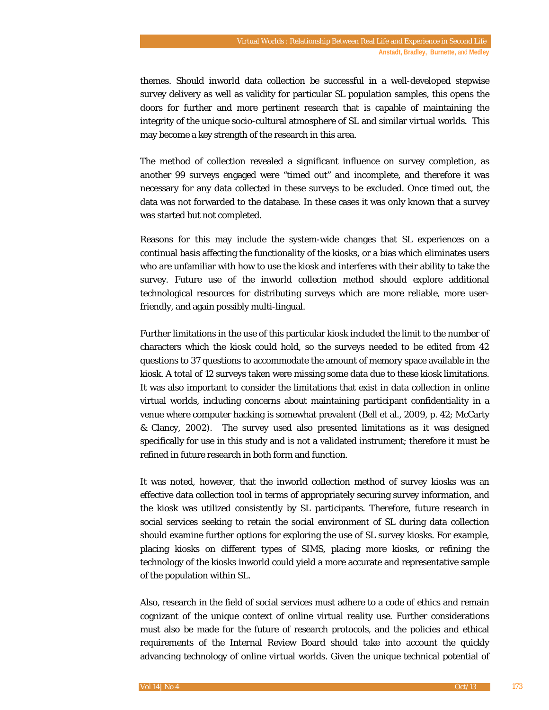themes. Should inworld data collection be successful in a well-developed stepwise survey delivery as well as validity for particular SL population samples, this opens the doors for further and more pertinent research that is capable of maintaining the integrity of the unique socio-cultural atmosphere of SL and similar virtual worlds. This may become a key strength of the research in this area.

The method of collection revealed a significant influence on survey completion, as another 99 surveys engaged were "timed out" and incomplete, and therefore it was necessary for any data collected in these surveys to be excluded. Once timed out, the data was not forwarded to the database. In these cases it was only known that a survey was started but not completed.

Reasons for this may include the system-wide changes that SL experiences on a continual basis affecting the functionality of the kiosks, or a bias which eliminates users who are unfamiliar with how to use the kiosk and interferes with their ability to take the survey. Future use of the inworld collection method should explore additional technological resources for distributing surveys which are more reliable, more userfriendly, and again possibly multi-lingual.

Further limitations in the use of this particular kiosk included the limit to the number of characters which the kiosk could hold, so the surveys needed to be edited from 42 questions to 37 questions to accommodate the amount of memory space available in the kiosk. A total of 12 surveys taken were missing some data due to these kiosk limitations. It was also important to consider the limitations that exist in data collection in online virtual worlds, including concerns about maintaining participant confidentiality in a venue where computer hacking is somewhat prevalent (Bell et al., 2009, p. 42; McCarty & Clancy, 2002). The survey used also presented limitations as it was designed specifically for use in this study and is not a validated instrument; therefore it must be refined in future research in both form and function.

It was noted, however, that the inworld collection method of survey kiosks was an effective data collection tool in terms of appropriately securing survey information, and the kiosk was utilized consistently by SL participants. Therefore, future research in social services seeking to retain the social environment of SL during data collection should examine further options for exploring the use of SL survey kiosks. For example, placing kiosks on different types of SIMS, placing more kiosks, or refining the technology of the kiosks inworld could yield a more accurate and representative sample of the population within SL.

Also, research in the field of social services must adhere to a code of ethics and remain cognizant of the unique context of online virtual reality use. Further considerations must also be made for the future of research protocols, and the policies and ethical requirements of the Internal Review Board should take into account the quickly advancing technology of online virtual worlds. Given the unique technical potential of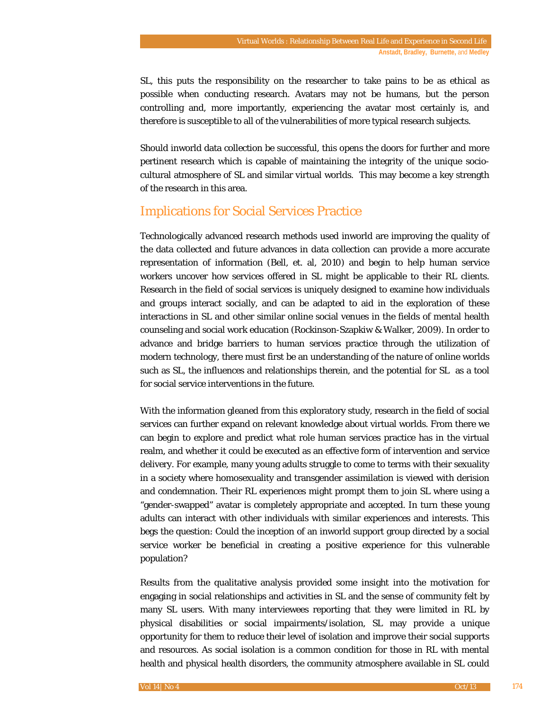SL, this puts the responsibility on the researcher to take pains to be as ethical as possible when conducting research. Avatars may not be humans, but the person controlling and, more importantly, experiencing the avatar most certainly is, and therefore is susceptible to all of the vulnerabilities of more typical research subjects.

Should inworld data collection be successful, this opens the doors for further and more pertinent research which is capable of maintaining the integrity of the unique sociocultural atmosphere of SL and similar virtual worlds. This may become a key strength of the research in this area.

## Implications for Social Services Practice

Technologically advanced research methods used inworld are improving the quality of the data collected and future advances in data collection can provide a more accurate representation of information (Bell, et. al, 2010) and begin to help human service workers uncover how services offered in SL might be applicable to their RL clients. Research in the field of social services is uniquely designed to examine how individuals and groups interact socially, and can be adapted to aid in the exploration of these interactions in SL and other similar online social venues in the fields of mental health counseling and social work education (Rockinson-Szapkiw & Walker, 2009). In order to advance and bridge barriers to human services practice through the utilization of modern technology, there must first be an understanding of the nature of online worlds such as SL, the influences and relationships therein, and the potential for SL as a tool for social service interventions in the future.

With the information gleaned from this exploratory study, research in the field of social services can further expand on relevant knowledge about virtual worlds. From there we can begin to explore and predict what role human services practice has in the virtual realm, and whether it could be executed as an effective form of intervention and service delivery. For example, many young adults struggle to come to terms with their sexuality in a society where homosexuality and transgender assimilation is viewed with derision and condemnation. Their RL experiences might prompt them to join SL where using a "gender-swapped" avatar is completely appropriate and accepted. In turn these young adults can interact with other individuals with similar experiences and interests. This begs the question: Could the inception of an inworld support group directed by a social service worker be beneficial in creating a positive experience for this vulnerable population?

Results from the qualitative analysis provided some insight into the motivation for engaging in social relationships and activities in SL and the sense of community felt by many SL users. With many interviewees reporting that they were limited in RL by physical disabilities or social impairments/isolation, SL may provide a unique opportunity for them to reduce their level of isolation and improve their social supports and resources. As social isolation is a common condition for those in RL with mental health and physical health disorders, the community atmosphere available in SL could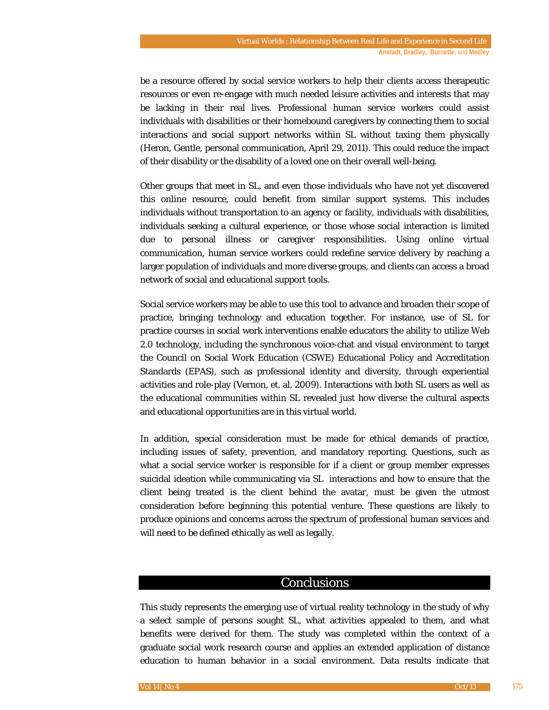be a resource offered by social service workers to help their clients access therapeutic resources or even re-engage with much needed leisure activities and interests that may be lacking in their real lives. Professional human service workers could assist individuals with disabilities or their homebound caregivers by connecting them to social interactions and social support networks within SL without taxing them physically (Heron, Gentle, personal communication, April 29, 2011). This could reduce the impact of their disability or the disability of a loved one on their overall well-being.

Other groups that meet in SL, and even those individuals who have not yet discovered this online resource, could benefit from similar support systems. This includes individuals without transportation to an agency or facility, individuals with disabilities, individuals seeking a cultural experience, or those whose social interaction is limited due to personal illness or caregiver responsibilities. Using online virtual communication, human service workers could redefine service delivery by reaching a larger population of individuals and more diverse groups, and clients can access a broad network of social and educational support tools.

Social service workers may be able to use this tool to advance and broaden their scope of practice, bringing technology and education together. For instance, use of SL for practice courses in social work interventions enable educators the ability to utilize Web 2.0 technology, including the synchronous voice-chat and visual environment to target the Council on Social Work Education (CSWE) Educational Policy and Accreditation Standards (EPAS), such as professional identity and diversity, through experiential activities and role-play (Vernon, et. al, 2009). Interactions with both SL users as well as the educational communities within SL revealed just how diverse the cultural aspects and educational opportunities are in this virtual world.

In addition, special consideration must be made for ethical demands of practice, including issues of safety, prevention, and mandatory reporting. Questions, such as what a social service worker is responsible for if a client or group member expresses suicidal ideation while communicating via SL interactions and how to ensure that the client being treated is the client behind the avatar, must be given the utmost consideration before beginning this potential venture. These questions are likely to produce opinions and concerns across the spectrum of professional human services and will need to be defined ethically as well as legally.

#### Conclusions

This study represents the emerging use of virtual reality technology in the study of why a select sample of persons sought SL, what activities appealed to them, and what benefits were derived for them. The study was completed within the context of a graduate social work research course and applies an extended application of distance education to human behavior in a social environment. Data results indicate that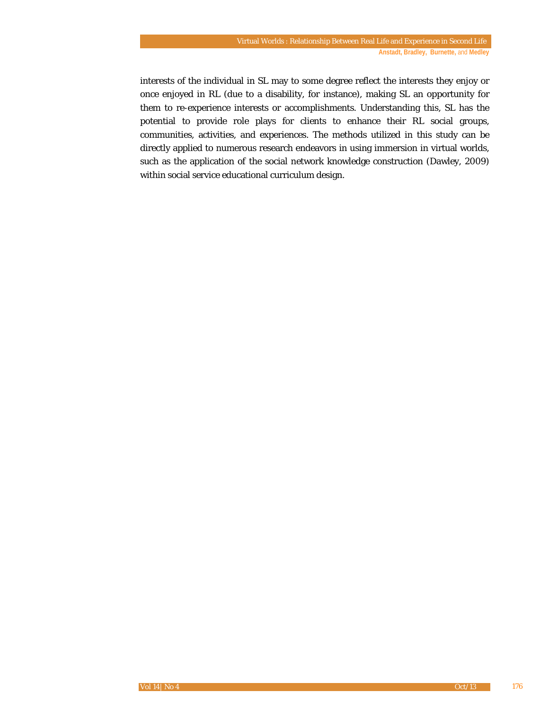interests of the individual in SL may to some degree reflect the interests they enjoy or once enjoyed in RL (due to a disability, for instance), making SL an opportunity for them to re-experience interests or accomplishments. Understanding this, SL has the potential to provide role plays for clients to enhance their RL social groups, communities, activities, and experiences. The methods utilized in this study can be directly applied to numerous research endeavors in using immersion in virtual worlds, such as the application of the social network knowledge construction (Dawley, 2009) within social service educational curriculum design.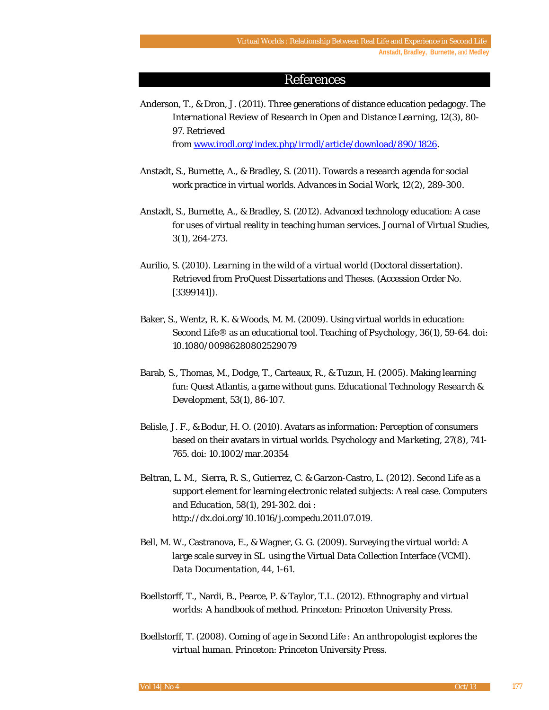#### References

- Anderson, T., & Dron, J. (2011). Three generations of distance education pedagogy. *The International Review of Research in Open and Distance Learning, 12*(3), 80- 97. Retrieved from [www.irodl.org/index.php/irrodl/article/download/890/1826.](http://www.irodl.org/index.php/irrodl/article/download/890/1826)
- Anstadt, S., Burnette, A., & Bradley, S. (2011). Towards a research agenda for social work practice in virtual worlds. *Advances in Social Work, 12*(*2*), 289-300.
- Anstadt, S., Burnette, A., & Bradley, S. (2012). Advanced technology education: A case for uses of virtual reality in teaching human services. *Journal of Virtual Studies,*  3(1), 264-273.
- Aurilio, S. (2010). *Learning in the wild of a virtual world* (Doctoral dissertation). Retrieved from ProQuest Dissertations and Theses. (Accession Order No. [3399141]).
- Baker, S., Wentz, R. K. & Woods, M. M. (2009). Using virtual worlds in education: Second Life® as an educational tool. *Teaching of Psychology*, *36*(1), 59-64. doi: 10.1080/00986280802529079
- Barab, S., Thomas, M., Dodge, T., Carteaux, R., & Tuzun, H. (2005). Making learning fun: Quest Atlantis, a game without guns. *Educational Technology Research & Development, 53*(1), 86-107.
- Belisle, J. F., & Bodur, H. O. (2010). Avatars as information: Perception of consumers based on their avatars in virtual worlds. *Psychology and Marketing, 27*(8), 741- 765. doi: 10.1002/mar.20354
- Beltran, L. M., Sierra, R. S., Gutierrez, C. & Garzon-Castro, L. (2012). Second Life as a support element for learning electronic related subjects: A real case. *Computers and Education, 58*(1), 291-302. doi : [http://dx.doi.org/10.1016/j.compedu.2011.07.019.](http://dx.doi.org/10.1016/j.compedu.2011.07.019)
- Bell, M. W., Castranova, E., & Wagner, G. G. (2009). Surveying the virtual world: A large scale survey in SL using the Virtual Data Collection Interface (VCMI). *Data Documentation, 44*, 1-61.
- Boellstorff, T., Nardi, B., Pearce, P. & Taylor, T.L. (2012). *Ethnography and virtual worlds: A handbook of method.* Princeton: Princeton University Press.
- Boellstorff, T. (2008). *Coming of age in Second Life : An anthropologist explores the virtual human*. Princeton: Princeton University Press.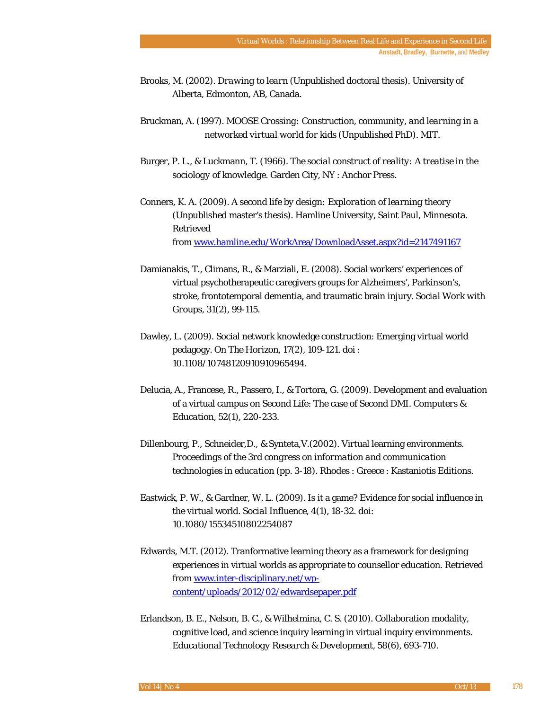- Brooks, M. (2002). *Drawing to learn* (Unpublished doctoral thesis). University of Alberta, Edmonton, AB, Canada.
- Bruckman, A*. (1997). MOOSE Crossing: Construction, community, and learning in a networked virtual world for kids* (Unpublished PhD). MIT.
- Burger, P. L., & Luckmann, T. (1966). *The social construct of reality: A treatise in the sociology of knowledge.* Garden City, NY : Anchor Press.
- Conners, K. A. (2009). *A second life by design: Exploration of learning theory*  (Unpublished master's thesis). Hamline University, Saint Paul, Minnesota. Retrieved from [www.hamline.edu/WorkArea/DownloadAsset.aspx?id=2147491167](http://www.hamline.edu/WorkArea/DownloadAsset.aspx?id=2147491167)
- Damianakis, T., Climans, R., & Marziali, E. (2008). Social workers' experiences of virtual psychotherapeutic caregivers groups for Alzheimers', Parkinson's, stroke, frontotemporal dementia, and traumatic brain injury. *Social Work with Groups*, *31*(2), 99-115.
- Dawley, L. (2009). Social network knowledge construction: Emerging virtual world pedagogy. *On The Horizon, 17*(2), 109-121. doi : 10.1108/10748120910910965494.
- Delucia, A., Francese, R., Passero, I., & Tortora, G. (2009). Development and evaluation of a virtual campus on Second Life: The case of Second DMI. *Computers & Education, 52*(1), 220-233.
- Dillenbourg, P., Schneider,D., & Synteta,V.(2002). Virtual learning environments. *Proceedings of the 3rd congress on information and communication technologies in education* (pp. 3-18). Rhodes : Greece : Kastaniotis Editions.
- Eastwick, P. W., & Gardner, W. L. (2009). Is it a game*?* Evidence for social influence in the virtual world. *Social Influence, 4*(1), 18-32. doi: 10.1080/15534510802254087
- Edwards, M.T. (2012). Tranformative learning theory as a framework for designing experiences in virtual worlds as appropriate to counsellor education*.* Retrieved from [www.inter-disciplinary.net/wp](http://www.inter-disciplinary.net/wp-content/uploads/2012/02/edwardsepaper.pdf)[content/uploads/2012/02/edwardsepaper.pdf](http://www.inter-disciplinary.net/wp-content/uploads/2012/02/edwardsepaper.pdf)
- Erlandson, B. E., Nelson, B. C., & Wilhelmina, C. S. (2010). Collaboration modality, cognitive load, and science inquiry learning in virtual inquiry environments. *Educational Technology Research & Development, 58*(6), 693-710.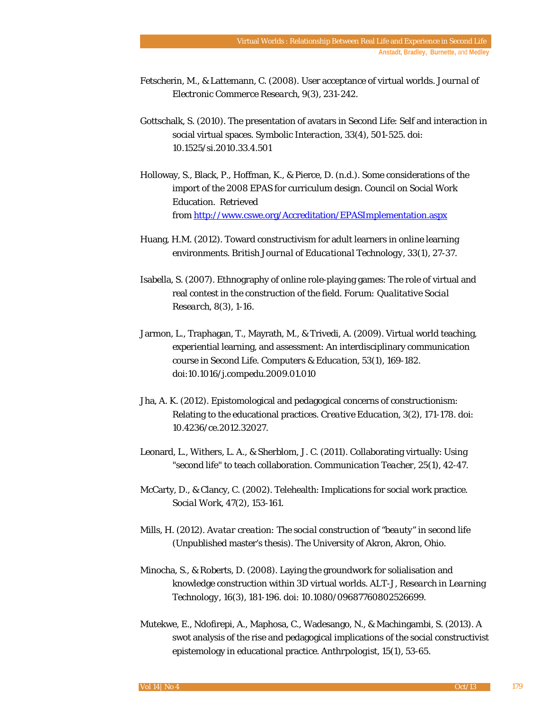- Fetscherin, M., & Lattemann, C. (2008). User acceptance of virtual worlds. *Journal of Electronic Commerce Research, 9*(3), 231-242.
- Gottschalk, S. (2010). The presentation of avatars in Second Life: Self and interaction in social virtual spaces. *Symbolic Interaction, 33*(4), 501-525. doi: 10.1525/si.2010.33.4.501
- Holloway, S., Black, P., Hoffman, K., & Pierce, D. (n.d.). Some considerations of the import of the 2008 EPAS for curriculum design. Council on Social Work Education. Retrieved from<http://www.cswe.org/Accreditation/EPASImplementation.aspx>
- Huang, H.M. (2012). Toward constructivism for adult learners in online learning environments. *British Journal of Educational Technology, 33*(1), 27-37.
- Isabella, S. (2007). Ethnography of online role-playing games: The role of virtual and real contest in the construction of the field. *Forum: Qualitative Social Research, 8*(3), 1-16.
- Jarmon, L., Traphagan, T., Mayrath, M., & Trivedi, A. (2009). Virtual world teaching, experiential learning, and assessment: An interdisciplinary communication course in Second Life. *Computers & Education, 53*(1), 169-182. doi:10.1016/j.compedu.2009.01.010
- Jha, A. K. (2012). Epistomological and pedagogical concerns of constructionism: Relating to the educational practices. *Creative Education, 3*(2), 171-178. doi: 10.4236/ce.2012.32027.
- Leonard, L., Withers, L. A., & Sherblom, J. C. (2011). Collaborating virtually: Using "second life" to teach collaboration. *Communication Teacher, 25*(1), 42-47.
- McCarty, D., & Clancy, C. (2002). Telehealth: Implications for social work practice. *Social Work, 47*(2), 153-161.
- Mills, H. (2012). *Avatar creation: The social construction of "beauty" in second life* (Unpublished master's thesis). The University of Akron, Akron, Ohio.
- Minocha, S., & Roberts, D. (2008). Laying the groundwork for solialisation and knowledge construction within 3D virtual worlds. *ALT-J, Research in Learning Technology, 16*(3), 181-196. doi: 10.1080/09687760802526699.
- Mutekwe, E., Ndofirepi, A., Maphosa, C., Wadesango, N., & Machingambi, S. (2013). A swot analysis of the rise and pedagogical implications of the social constructivist epistemology in educational practice. *Anthrpologist, 15*(1), 53-65.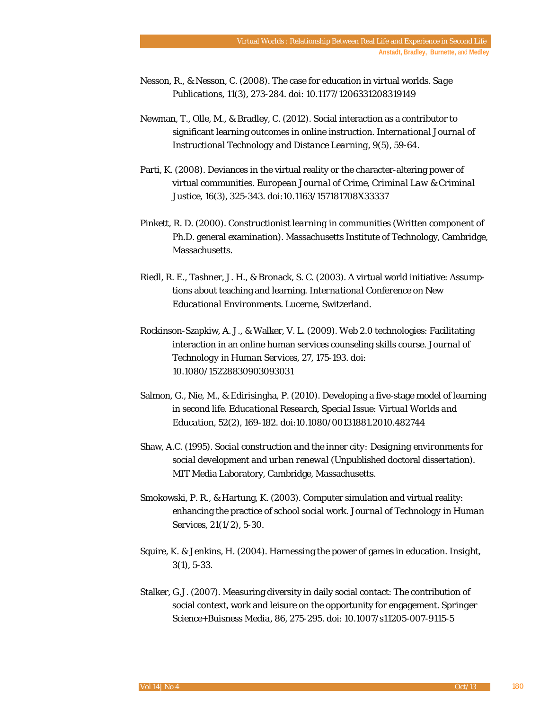Nesson, R., & Nesson, C. (2008). The case for education in virtual worlds. *Sage Publications*, *11*(3), 273-284. doi: 10.1177/1206331208319149

- Newman, T., Olle, M., & Bradley, C. (2012). Social interaction as a contributor to significant learning outcomes in online instruction. *International Journal of Instructional Technology and Distance Learning, 9*(5), 59-64.
- Parti, K. (2008). Deviances in the virtual reality or the character-altering power of virtual communities. *European Journal of Crime, Criminal Law & Criminal Justice, 16*(3), 325-343. doi:10.1163/157181708X33337
- Pinkett, R. D. (2000). *Constructionist learning in communities* (Written component of Ph.D. general examination). Massachusetts Institute of Technology, Cambridge, Massachusetts.
- Riedl, R. E., Tashner, J. H., & Bronack, S. C. (2003). A virtual world initiative: Assumptions about teaching and learning. *International Conference on New Educational Environments*. Lucerne, Switzerland.
- Rockinson-Szapkiw, A. J., & Walker, V. L. (2009). Web 2.0 technologies: Facilitating interaction in an online human services counseling skills course. *Journal of Technology in Human Services*, *27*, 175-193. doi: 10.1080/15228830903093031
- Salmon, G., Nie, M., & Edirisingha, P. (2010). Developing a five-stage model of learning in *second life*. *Educational Research, Special Issue: Virtual Worlds and Education, 52*(2), 169-182. doi:10.1080/00131881.2010.482744
- Shaw, A.C. (1995). *Social construction and the inner city: Designing environments for social development and urban renewal* (Unpublished doctoral dissertation). MIT Media Laboratory, Cambridge, Massachusetts.
- Smokowski, P. R., & Hartung, K. (2003). Computer simulation and virtual reality: enhancing the practice of school social work*. Journal of Technology in Human Services, 21*(1/2), 5-30.
- Squire, K. & Jenkins, H. (2004). Harnessing the power of games in education. *Insight, 3*(1), 5-33.
- Stalker, G.J. (2007). Measuring diversity in daily social contact: The contribution of social context, work and leisure on the opportunity for engagement. *Springer Science+Buisness Media, 86*, 275-295. doi: 10.1007/s11205-007-9115-5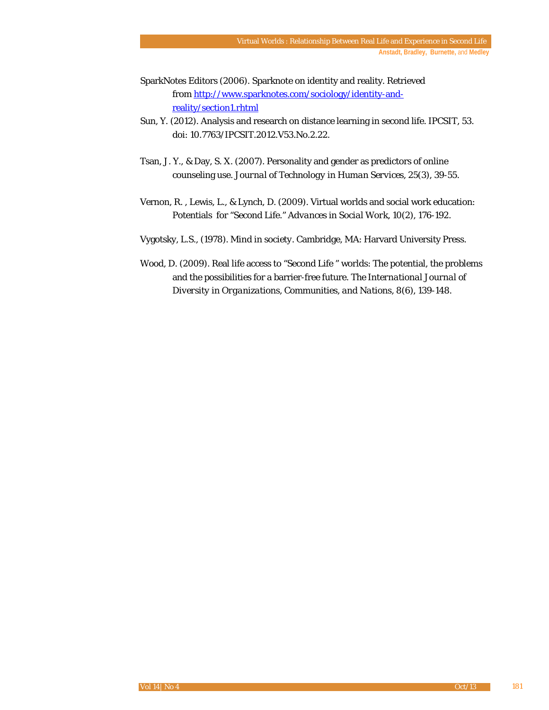- SparkNotes Editors (2006). Sparknote on identity and reality. Retrieved from [http://www.sparknotes.com/sociology/identity-and](http://www.sparknotes.com/sociology/identity-and-reality/section1.rhtml)[reality/section1.rhtml](http://www.sparknotes.com/sociology/identity-and-reality/section1.rhtml)
- Sun, Y. (2012). Analysis and research on distance learning in second life. *IPCSIT, 53.* doi: 10.7763/IPCSIT.2012.V53.No.2.22.
- Tsan, J. Y., & Day, S. X. (2007). Personality and gender as predictors of online counseling use. *Journal of Technology in Human Services, 25*(3), 39-55.
- Vernon, R. , Lewis, L., & Lynch, D. (2009). Virtual worlds and social work education: Potentials for "Second Life." *Advances in Social Work*, *10*(2), 176-192.
- Vygotsky, L.S., (1978). *Mind in society.* Cambridge, MA: Harvard University Press.
- Wood, D. (2009). Real life access to "Second Life " worlds: The potential, the problems and the possibilities for a barrier-free future. *The International Journal of Diversity in Organizations, Communities, and Nations, 8*(6), 139-148.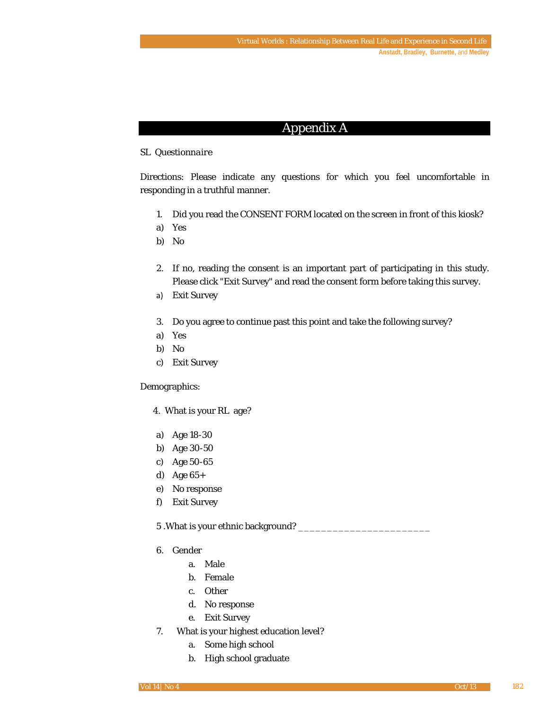### Appendix A

#### *SL Questionnaire*

Directions: Please indicate any questions for which you feel uncomfortable in responding in a truthful manner.

- 1. Did you read the CONSENT FORM located on the screen in front of this kiosk?
- a) Yes
- b) No
- 2. If no, reading the consent is an important part of participating in this study. Please click "Exit Survey" and read the consent form before taking this survey.
- a) Exit Survey
- 3. Do you agree to continue past this point and take the following survey?
- a) Yes
- b) No
- c) Exit Survey

#### Demographics:

- 4. What is your RL age?
- a) Age 18-30
- b) Age 30-50
- c) Age 50-65
- d) Age 65+
- e) No response
- f) Exit Survey

5 .What is your ethnic background? \_\_

- 6. Gender
	- a. Male
	- b. Female
	- c. Other
	- d. No response
	- e. Exit Survey
- 7. What is your highest education level?
	- a. Some high school
	- b. High school graduate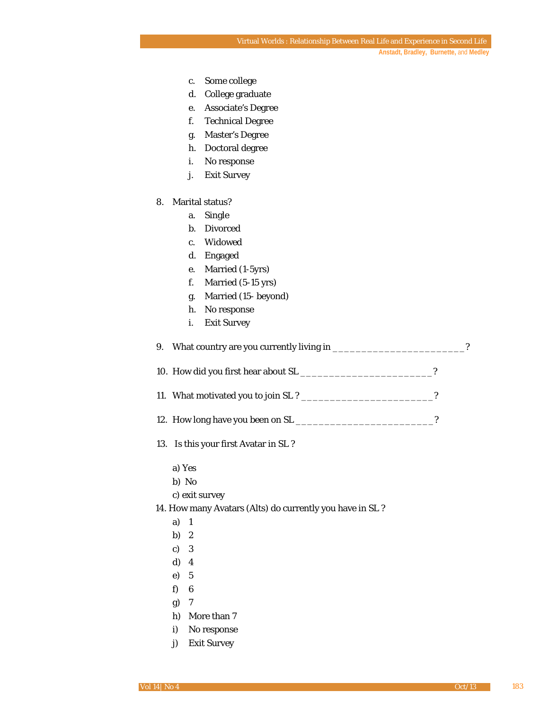- c. Some college
- d. College graduate
- e. Associate's Degree
- f. Technical Degree
- g. Master's Degree
- h. Doctoral degree
- i. No response
- j. Exit Survey
- 8. Marital status?
	- a. Single
	- b. Divorced
	- c. Widowed
	- d. Engaged
	- e. Married (1-5yrs)
	- f. Married (5-15 yrs)
	- g. Married (15- beyond)
	- h. No response
	- i. Exit Survey

9. What country are you currently living in \_\_\_\_\_\_\_\_\_\_\_\_\_\_\_\_\_\_\_\_\_\_\_\_\_\_\_\_?

10. How did you first hear about SL \_\_\_\_\_\_\_\_\_\_\_\_\_\_\_\_\_\_\_\_\_\_\_?

- 11. What motivated you to join SL ? \_\_\_\_\_\_\_\_\_\_\_\_\_\_\_\_\_\_\_\_\_\_\_?
- 12. How long have you been on SL \_\_\_\_\_\_\_\_\_\_\_\_\_\_\_\_\_\_\_\_\_\_\_\_\_\_\_\_\_\_\_?
- 13. Is this your first Avatar in SL ?
	- a) Yes
	- b) No
	- c) exit survey

14. How many Avatars (Alts) do currently you have in SL ?

- a) 1
- b) 2
- c) 3
- d) 4
- e) 5
- f) 6
- g) 7
- h) More than 7
- i) No response
- j) Exit Survey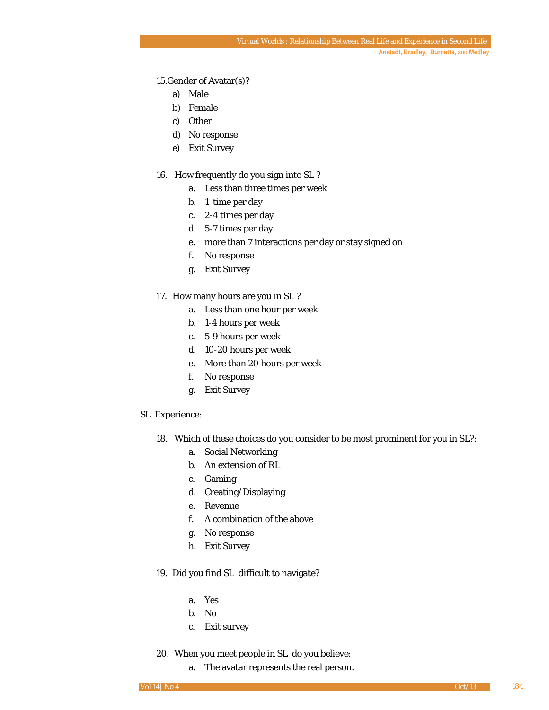15.Gender of Avatar(s)?

- a) Male
- b) Female
- c) Other
- d) No response
- e) Exit Survey
- 16. How frequently do you sign into SL ?
	- a. Less than three times per week
	- b. 1 time per day
	- c. 2-4 times per day
	- d. 5-7 times per day
	- e. more than 7 interactions per day or stay signed on
	- f. No response
	- g. Exit Survey
- 17. How many hours are you in SL ?
	- a. Less than one hour per week
	- b. 1-4 hours per week
	- c. 5-9 hours per week
	- d. 10-20 hours per week
	- e. More than 20 hours per week
	- f. No response
	- g. Exit Survey
- SL Experience:
	- 18. Which of these choices do you consider to be most prominent for you in SL?:
		- a. Social Networking
		- b. An extension of RL
		- c. Gaming
		- d. Creating/Displaying
		- e. Revenue
		- f. A combination of the above
		- g. No response
		- h. Exit Survey
	- 19. Did you find SL difficult to navigate?
		- a. Yes
		- b. No
		- c. Exit survey
	- 20. When you meet people in SL do you believe:
		- a. The avatar represents the real person.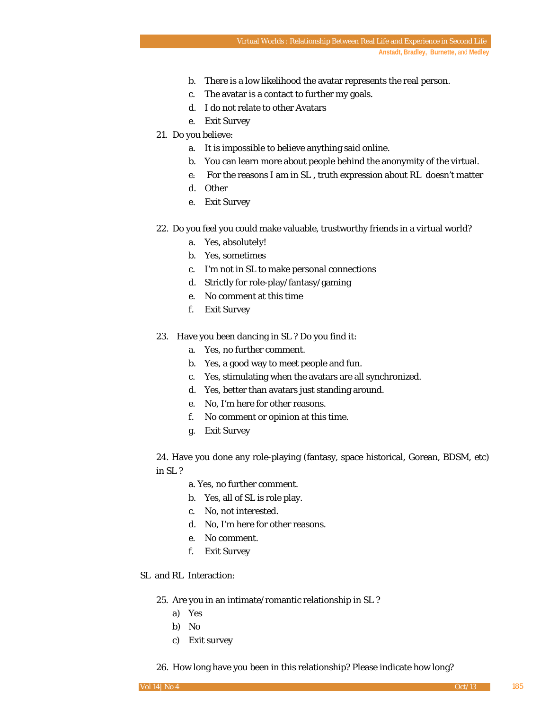- b. There is a low likelihood the avatar represents the real person.
- c. The avatar is a contact to further my goals.
- d. I do not relate to other Avatars
- e. Exit Survey
- 21. Do you believe:
	- a. It is impossible to believe anything said online.
	- b. You can learn more about people behind the anonymity of the virtual.
	- $\epsilon$ . For the reasons I am in SL, truth expression about RL doesn't matter
	- d. Other
	- e. Exit Survey
- 22. Do you feel you could make valuable, trustworthy friends in a virtual world?
	- a. Yes, absolutely!
	- b. Yes, sometimes
	- c. I'm not in SL to make personal connections
	- d. Strictly for role-play/fantasy/gaming
	- e. No comment at this time
	- f. Exit Survey
- 23. Have you been dancing in SL ? Do you find it:
	- a. Yes, no further comment.
	- b. Yes, a good way to meet people and fun.
	- c. Yes, stimulating when the avatars are all synchronized.
	- d. Yes, better than avatars just standing around.
	- e. No, I'm here for other reasons.
	- f. No comment or opinion at this time.
	- g. Exit Survey

24. Have you done any role-playing (fantasy, space historical, Gorean, BDSM, etc) in SL ?

- a. Yes, no further comment.
	- b. Yes, all of SL is role play.
	- c. No, not interested.
	- d. No, I'm here for other reasons.
	- e. No comment.
	- f. Exit Survey
- SL and RL Interaction:
	- 25. Are you in an intimate/romantic relationship in SL ?
		- a) Yes
		- b) No
		- c) Exit survey
	- 26. How long have you been in this relationship? Please indicate how long?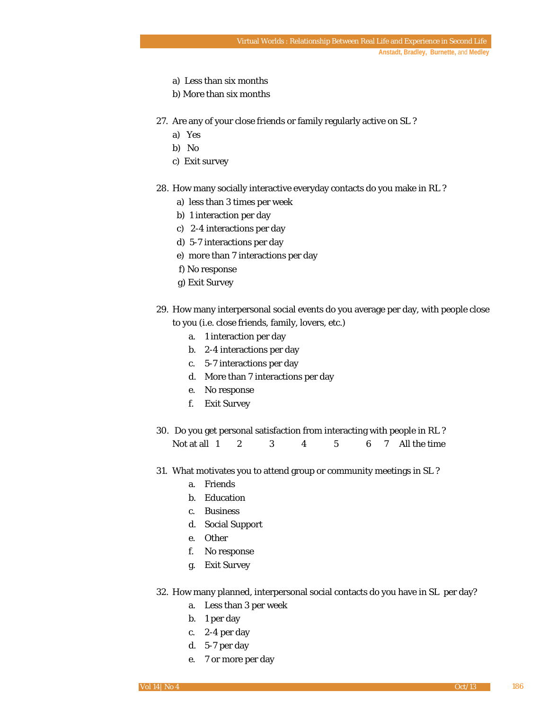- a) Less than six months
- b) More than six months
- 27. Are any of your close friends or family regularly active on SL ?
	- a) Yes
	- b) No
	- c) Exit survey
- 28. How many socially interactive everyday contacts do you make in RL ?
	- a) less than 3 times per week
	- b) 1 interaction per day
	- c) 2-4 interactions per day
	- d) 5-7 interactions per day
	- e) more than 7 interactions per day
	- f) No response
	- g) Exit Survey
- 29. How many interpersonal social events do you average per day, with people close to you (i.e. close friends, family, lovers, etc.)
	- a. 1 interaction per day
	- b. 2-4 interactions per day
	- c. 5-7 interactions per day
	- d. More than 7 interactions per day
	- e. No response
	- f. Exit Survey
- 30. Do you get personal satisfaction from interacting with people in RL ? Not at all 1 2 3 4 5 6 7 All the time
- 31. What motivates you to attend group or community meetings in SL ?
	- a. Friends
	- b. Education
	- c. Business
	- d. Social Support
	- e. Other
	- f. No response
	- g. Exit Survey
- 32. How many planned, interpersonal social contacts do you have in SL per day?
	- a. Less than 3 per week
	- b. 1 per day
	- c. 2-4 per day
	- d. 5-7 per day
	- e. 7 or more per day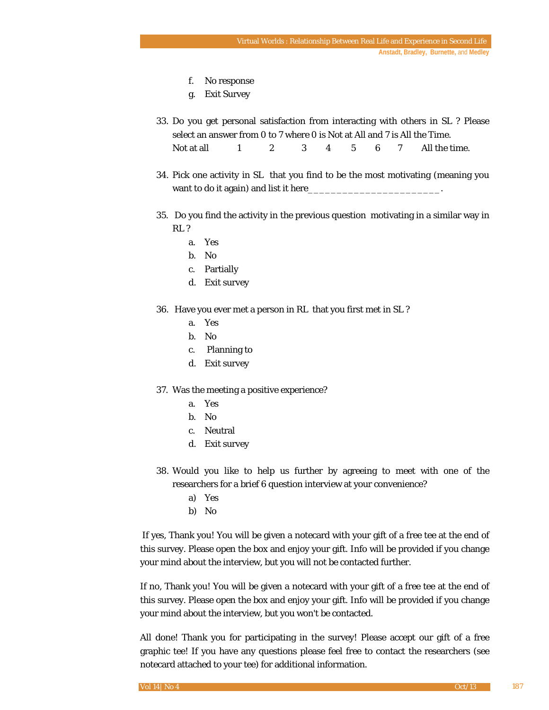- f. No response
- g. Exit Survey
- 33. Do you get personal satisfaction from interacting with others in SL ? Please select an answer from 0 to 7 where 0 is Not at All and 7 is All the Time. Not at all 1 2 3 4 5 6 7 All the time.
- 34. Pick one activity in SL that you find to be the most motivating (meaning you want to do it again) and list it here\_
- 35. Do you find the activity in the previous question motivating in a similar way in RL ?
	- a. Yes
	- b. No
	- c. Partially
	- d. Exit survey
- 36. Have you ever met a person in RL that you first met in SL ?
	- a. Yes
	- b. No
	- c. Planning to
	- d. Exit survey
- 37. Was the meeting a positive experience?
	- a. Yes
	- b. No
	- c. Neutral
	- d. Exit survey
- 38. Would you like to help us further by agreeing to meet with one of the researchers for a brief 6 question interview at your convenience?
	- a) Yes
	- b) No

If yes, Thank you! You will be given a notecard with your gift of a free tee at the end of this survey. Please open the box and enjoy your gift. Info will be provided if you change your mind about the interview, but you will not be contacted further.

If no, Thank you! You will be given a notecard with your gift of a free tee at the end of this survey. Please open the box and enjoy your gift. Info will be provided if you change your mind about the interview, but you won't be contacted.

All done! Thank you for participating in the survey! Please accept our gift of a free graphic tee! If you have any questions please feel free to contact the researchers (see notecard attached to your tee) for additional information.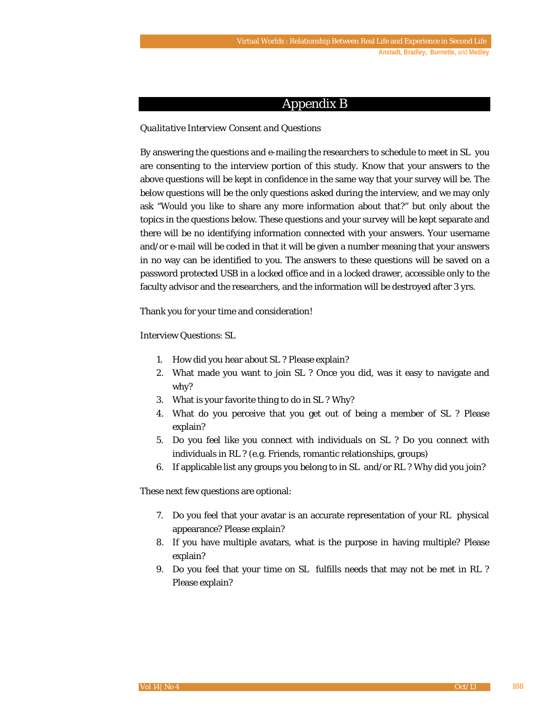### Appendix B

#### *Qualitative Interview Consent and Questions*

By answering the questions and e-mailing the researchers to schedule to meet in SL you are consenting to the interview portion of this study. Know that your answers to the above questions will be kept in confidence in the same way that your survey will be. The below questions will be the only questions asked during the interview, and we may only ask "Would you like to share any more information about that?" but only about the topics in the questions below. These questions and your survey will be kept separate and there will be no identifying information connected with your answers. Your username and/or e-mail will be coded in that it will be given a number meaning that your answers in no way can be identified to you. The answers to these questions will be saved on a password protected USB in a locked office and in a locked drawer, accessible only to the faculty advisor and the researchers, and the information will be destroyed after 3 yrs.

Thank you for your time and consideration!

Interview Questions: SL

- 1. How did you hear about SL ? Please explain?
- 2. What made you want to join SL ? Once you did, was it easy to navigate and why?
- 3. What is your favorite thing to do in SL ? Why?
- 4. What do you perceive that you get out of being a member of SL ? Please explain?
- 5. Do you feel like you connect with individuals on SL ? Do you connect with individuals in RL ? (e.g. Friends, romantic relationships, groups)
- 6. If applicable list any groups you belong to in SL and/or RL ? Why did you join?

These next few questions are optional:

- 7. Do you feel that your avatar is an accurate representation of your RL physical appearance? Please explain?
- 8. If you have multiple avatars, what is the purpose in having multiple? Please explain?
- 9. Do you feel that your time on SL fulfills needs that may not be met in RL ? Please explain?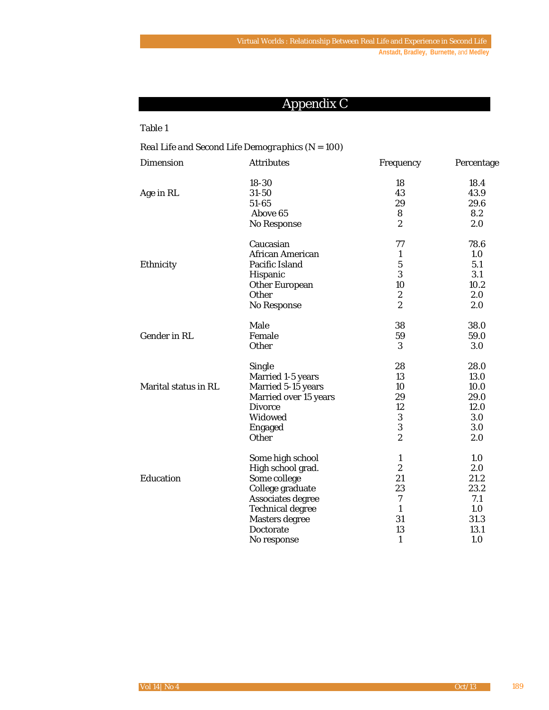## Appendix C

#### Table 1

*Real Life and Second Life Demographics (N = 100)*

| <b>Dimension</b>     | <b>Attributes</b>       | Frequency                                                                                                                                                                                                                                                                                            | Percentage |
|----------------------|-------------------------|------------------------------------------------------------------------------------------------------------------------------------------------------------------------------------------------------------------------------------------------------------------------------------------------------|------------|
|                      | 18-30                   | 18                                                                                                                                                                                                                                                                                                   | 18.4       |
| Age in RL            | $31 - 50$               | 43<br>29<br>8<br>$\overline{2}$<br>77<br>$\mathbf{1}$<br>$\overline{5}$<br>3<br>10<br>$\boldsymbol{2}$<br>$\overline{2}$<br>38<br>59<br>3<br>28<br>13<br>10<br>29<br>12<br>3<br>3<br>$\overline{2}$<br>$\mathbf{1}$<br>$\boldsymbol{2}$<br>21<br>23<br>7<br>$\mathbf{1}$<br>31<br>13<br>$\mathbf{1}$ | 43.9       |
|                      | 51-65                   |                                                                                                                                                                                                                                                                                                      | 29.6       |
|                      | Above 65                |                                                                                                                                                                                                                                                                                                      | 8.2        |
|                      | No Response             |                                                                                                                                                                                                                                                                                                      | 2.0        |
|                      | Caucasian               |                                                                                                                                                                                                                                                                                                      | 78.6       |
|                      | <b>African American</b> |                                                                                                                                                                                                                                                                                                      | 1.0        |
| Ethnicity            | Pacific Island          |                                                                                                                                                                                                                                                                                                      | 5.1        |
|                      | Hispanic                |                                                                                                                                                                                                                                                                                                      | 3.1        |
|                      | <b>Other European</b>   |                                                                                                                                                                                                                                                                                                      | 10.2       |
|                      | Other                   |                                                                                                                                                                                                                                                                                                      | 2.0        |
|                      | No Response             |                                                                                                                                                                                                                                                                                                      | 2.0        |
|                      | Male                    |                                                                                                                                                                                                                                                                                                      | 38.0       |
| <b>Gender in RL</b>  | Female                  |                                                                                                                                                                                                                                                                                                      | 59.0       |
|                      | Other                   |                                                                                                                                                                                                                                                                                                      | 3.0        |
|                      | <b>Single</b>           |                                                                                                                                                                                                                                                                                                      | 28.0       |
|                      | Married 1-5 years       |                                                                                                                                                                                                                                                                                                      | 13.0       |
| Marital status in RL | Married 5-15 years      |                                                                                                                                                                                                                                                                                                      | 10.0       |
|                      | Married over 15 years   |                                                                                                                                                                                                                                                                                                      | 29.0       |
|                      | <b>Divorce</b>          |                                                                                                                                                                                                                                                                                                      | 12.0       |
|                      | Widowed                 |                                                                                                                                                                                                                                                                                                      | 3.0        |
|                      | Engaged                 |                                                                                                                                                                                                                                                                                                      | 3.0        |
|                      | Other                   |                                                                                                                                                                                                                                                                                                      | 2.0        |
|                      | Some high school        |                                                                                                                                                                                                                                                                                                      | 1.0        |
|                      | High school grad.       |                                                                                                                                                                                                                                                                                                      | 2.0        |
| Education            | Some college            |                                                                                                                                                                                                                                                                                                      | 21.2       |
|                      | College graduate        |                                                                                                                                                                                                                                                                                                      | 23.2       |
|                      | Associates degree       |                                                                                                                                                                                                                                                                                                      | 7.1        |
|                      | <b>Technical degree</b> |                                                                                                                                                                                                                                                                                                      | 1.0        |
|                      | <b>Masters</b> degree   |                                                                                                                                                                                                                                                                                                      | 31.3       |
|                      | <b>Doctorate</b>        |                                                                                                                                                                                                                                                                                                      | 13.1       |
|                      | No response             |                                                                                                                                                                                                                                                                                                      | 1.0        |